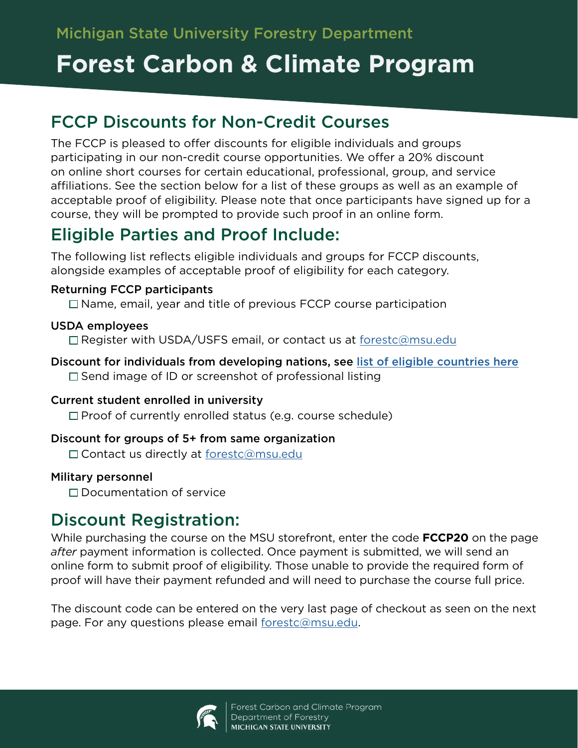## **Forest Carbon & Climate Program**

### FCCP Discounts for Non-Credit Courses

The FCCP is pleased to offer discounts for eligible individuals and groups participating in our non-credit course opportunities. We offer a 20% discount on online short courses for certain educational, professional, group, and service affiliations. See the section below for a list of these groups as well as an example of acceptable proof of eligibility. Please note that once participants have signed up for a course, they will be prompted to provide such proof in an online form.

## Eligible Parties and Proof Include:

The following list reflects eligible individuals and groups for FCCP discounts, alongside examples of acceptable proof of eligibility for each category.

#### Returning FCCP participants

 $\Box$  Name, email, year and title of previous FCCP course participation

#### USDA employees

□ Register with USDA/USFS email, or contact us at [forestc@msu.edu](mailto:forestc%40msu.edu?subject=)

Discount for individuals from developing nations, see [list of eligible countries here](http://www.oecd.org/dac/financing-sustainable-development/development-finance-standards/DAC-List-of-ODA-Recipients-for-reporting-2020-flows.pdf)  $\square$  Send image of ID or screenshot of professional listing

### Current student enrolled in university

 $\Box$  Proof of currently enrolled status (e.g. course schedule)

### Discount for groups of 5+ from same organization

□ Contact us directly at [forestc@msu.edu](mailto:forestc%40msu.edu?subject=)

### Military personnel

□ Documentation of service

### Discount Registration:

While purchasing the course on the MSU storefront, enter the code **FCCP20** on the page *after* payment information is collected. Once payment is submitted, we will send an online form to submit proof of eligibility. Those unable to provide the required form of proof will have their payment refunded and will need to purchase the course full price.

The discount code can be entered on the very last page of checkout as seen on the next page. For any questions please email [forestc@msu.edu](mailto:forestc%40msu.edu?subject=).

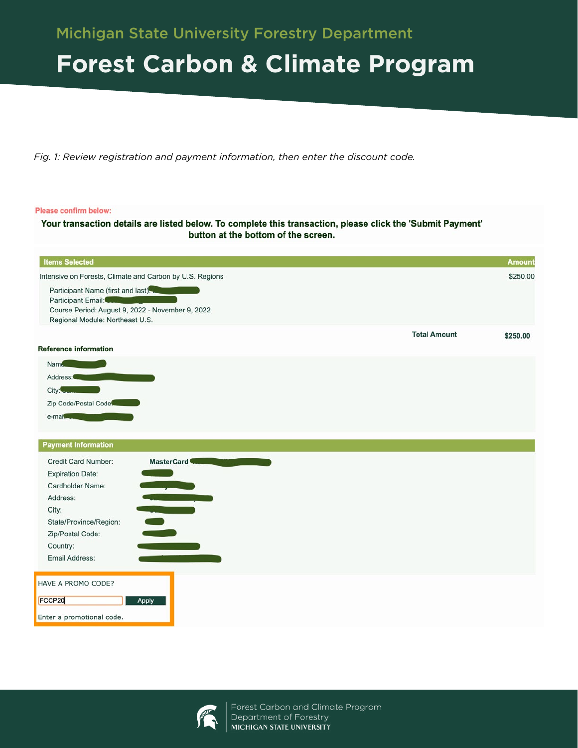## **Forest Carbon & Climate Program**

*Fig. 1: Review registration and payment information, then enter the discount code.*

#### Please confirm below:

Your transaction details are listed below. To complete this transaction, please click the 'Submit Payment' button at the bottom of the screen.

| <b>Items Selected</b>                                                                                                                           |                     | Amount   |
|-------------------------------------------------------------------------------------------------------------------------------------------------|---------------------|----------|
| Intensive on Forests, Climate and Carbon by U.S. Regions                                                                                        |                     | \$250.00 |
| Participant Name (first and last).<br>Participant Email:<br>Course Period: August 9, 2022 - November 9, 2022<br>Regional Module: Northeast U.S. |                     |          |
|                                                                                                                                                 | <b>Total Amount</b> | \$250.00 |
| <b>Reference information</b>                                                                                                                    |                     |          |
| Name.                                                                                                                                           |                     |          |
| Address:                                                                                                                                        |                     |          |
| City:                                                                                                                                           |                     |          |
| Zip Code/Postal Code                                                                                                                            |                     |          |
| e-mail                                                                                                                                          |                     |          |
|                                                                                                                                                 |                     |          |
| <b>Payment Information</b>                                                                                                                      |                     |          |
| Credit Card Number:<br>MasterCard                                                                                                               |                     |          |
| <b>Expiration Date:</b>                                                                                                                         |                     |          |
| Cardholder Name:                                                                                                                                |                     |          |
| a provinci<br>Address:                                                                                                                          |                     |          |
| City:                                                                                                                                           |                     |          |
| State/Province/Region:                                                                                                                          |                     |          |
| Zip/Postal Code:                                                                                                                                |                     |          |
| Country:                                                                                                                                        |                     |          |
| Email Address:                                                                                                                                  |                     |          |
| HAVE A PROMO CODE?                                                                                                                              |                     |          |
| FCCP20<br>Apply                                                                                                                                 |                     |          |
|                                                                                                                                                 |                     |          |
| Enter a promotional code.                                                                                                                       |                     |          |



Forest Carbon and Climate Program Department of Forestry MICHIGAN STATE UNIVERSITY